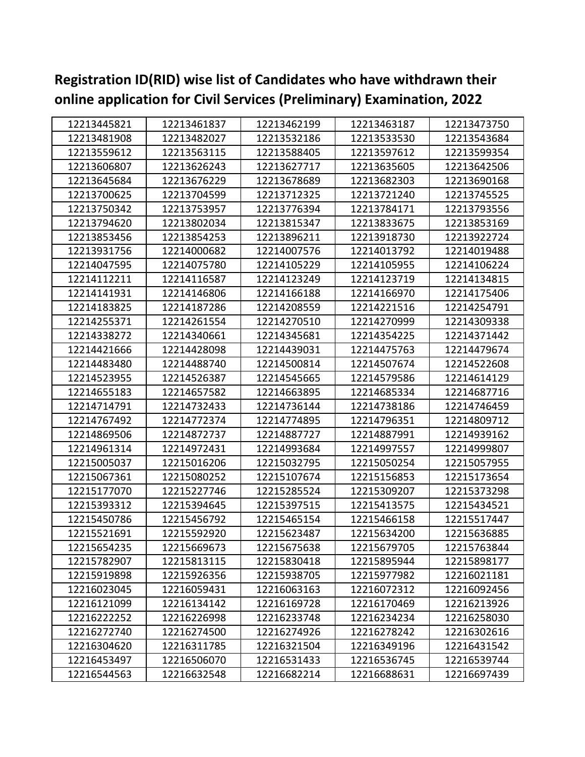| 12213445821 | 12213461837 | 12213462199 | 12213463187 | 12213473750 |
|-------------|-------------|-------------|-------------|-------------|
| 12213481908 | 12213482027 | 12213532186 | 12213533530 | 12213543684 |
| 12213559612 | 12213563115 | 12213588405 | 12213597612 | 12213599354 |
| 12213606807 | 12213626243 | 12213627717 | 12213635605 | 12213642506 |
| 12213645684 | 12213676229 | 12213678689 | 12213682303 | 12213690168 |
| 12213700625 | 12213704599 | 12213712325 | 12213721240 | 12213745525 |
| 12213750342 | 12213753957 | 12213776394 | 12213784171 | 12213793556 |
| 12213794620 | 12213802034 | 12213815347 | 12213833675 | 12213853169 |
| 12213853456 | 12213854253 | 12213896211 | 12213918730 | 12213922724 |
| 12213931756 | 12214000682 | 12214007576 | 12214013792 | 12214019488 |
| 12214047595 | 12214075780 | 12214105229 | 12214105955 | 12214106224 |
| 12214112211 | 12214116587 | 12214123249 | 12214123719 | 12214134815 |
| 12214141931 | 12214146806 | 12214166188 | 12214166970 | 12214175406 |
| 12214183825 | 12214187286 | 12214208559 | 12214221516 | 12214254791 |
| 12214255371 | 12214261554 | 12214270510 | 12214270999 | 12214309338 |
| 12214338272 | 12214340661 | 12214345681 | 12214354225 | 12214371442 |
| 12214421666 | 12214428098 | 12214439031 | 12214475763 | 12214479674 |
| 12214483480 | 12214488740 | 12214500814 | 12214507674 | 12214522608 |
| 12214523955 | 12214526387 | 12214545665 | 12214579586 | 12214614129 |
| 12214655183 | 12214657582 | 12214663895 | 12214685334 | 12214687716 |
| 12214714791 | 12214732433 | 12214736144 | 12214738186 | 12214746459 |
| 12214767492 | 12214772374 | 12214774895 | 12214796351 | 12214809712 |
| 12214869506 | 12214872737 | 12214887727 | 12214887991 | 12214939162 |
| 12214961314 | 12214972431 | 12214993684 | 12214997557 | 12214999807 |
| 12215005037 | 12215016206 | 12215032795 | 12215050254 | 12215057955 |
| 12215067361 | 12215080252 | 12215107674 | 12215156853 | 12215173654 |
| 12215177070 | 12215227746 | 12215285524 | 12215309207 | 12215373298 |
| 12215393312 | 12215394645 | 12215397515 | 12215413575 | 12215434521 |
| 12215450786 | 12215456792 | 12215465154 | 12215466158 | 12215517447 |
| 12215521691 | 12215592920 | 12215623487 | 12215634200 | 12215636885 |
| 12215654235 | 12215669673 | 12215675638 | 12215679705 | 12215763844 |
| 12215782907 | 12215813115 | 12215830418 | 12215895944 | 12215898177 |
| 12215919898 | 12215926356 | 12215938705 | 12215977982 | 12216021181 |
| 12216023045 | 12216059431 | 12216063163 | 12216072312 | 12216092456 |
| 12216121099 | 12216134142 | 12216169728 | 12216170469 | 12216213926 |
| 12216222252 | 12216226998 | 12216233748 | 12216234234 | 12216258030 |
| 12216272740 | 12216274500 | 12216274926 | 12216278242 | 12216302616 |
| 12216304620 | 12216311785 | 12216321504 | 12216349196 | 12216431542 |
| 12216453497 | 12216506070 | 12216531433 | 12216536745 | 12216539744 |
| 12216544563 | 12216632548 | 12216682214 | 12216688631 | 12216697439 |

**Registration ID(RID) wise list of Candidates who have withdrawn their online application for Civil Services (Preliminary) Examination, 2022**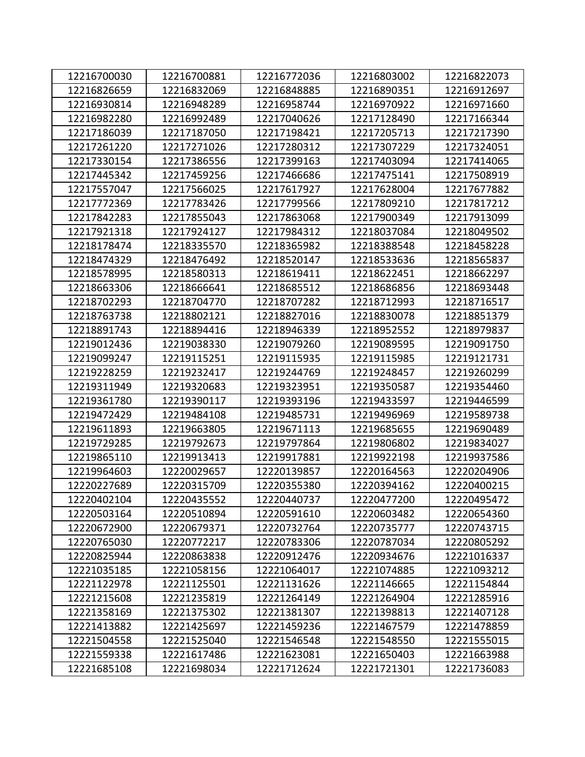| 12216700030 | 12216700881 | 12216772036 | 12216803002 | 12216822073 |
|-------------|-------------|-------------|-------------|-------------|
| 12216826659 | 12216832069 | 12216848885 | 12216890351 | 12216912697 |
| 12216930814 | 12216948289 | 12216958744 | 12216970922 | 12216971660 |
| 12216982280 | 12216992489 | 12217040626 | 12217128490 | 12217166344 |
| 12217186039 | 12217187050 | 12217198421 | 12217205713 | 12217217390 |
| 12217261220 | 12217271026 | 12217280312 | 12217307229 | 12217324051 |
| 12217330154 | 12217386556 | 12217399163 | 12217403094 | 12217414065 |
| 12217445342 | 12217459256 | 12217466686 | 12217475141 | 12217508919 |
| 12217557047 | 12217566025 | 12217617927 | 12217628004 | 12217677882 |
| 12217772369 | 12217783426 | 12217799566 | 12217809210 | 12217817212 |
| 12217842283 | 12217855043 | 12217863068 | 12217900349 | 12217913099 |
| 12217921318 | 12217924127 | 12217984312 | 12218037084 | 12218049502 |
| 12218178474 | 12218335570 | 12218365982 | 12218388548 | 12218458228 |
| 12218474329 | 12218476492 | 12218520147 | 12218533636 | 12218565837 |
| 12218578995 | 12218580313 | 12218619411 | 12218622451 | 12218662297 |
| 12218663306 | 12218666641 | 12218685512 | 12218686856 | 12218693448 |
| 12218702293 | 12218704770 | 12218707282 | 12218712993 | 12218716517 |
| 12218763738 | 12218802121 | 12218827016 | 12218830078 | 12218851379 |
| 12218891743 | 12218894416 | 12218946339 | 12218952552 | 12218979837 |
| 12219012436 | 12219038330 | 12219079260 | 12219089595 | 12219091750 |
| 12219099247 | 12219115251 | 12219115935 | 12219115985 | 12219121731 |
| 12219228259 | 12219232417 | 12219244769 | 12219248457 | 12219260299 |
| 12219311949 | 12219320683 | 12219323951 | 12219350587 | 12219354460 |
| 12219361780 | 12219390117 | 12219393196 | 12219433597 | 12219446599 |
| 12219472429 | 12219484108 | 12219485731 | 12219496969 | 12219589738 |
| 12219611893 | 12219663805 | 12219671113 | 12219685655 | 12219690489 |
| 12219729285 | 12219792673 | 12219797864 | 12219806802 | 12219834027 |
| 12219865110 | 12219913413 | 12219917881 | 12219922198 | 12219937586 |
| 12219964603 | 12220029657 | 12220139857 | 12220164563 | 12220204906 |
| 12220227689 | 12220315709 | 12220355380 | 12220394162 | 12220400215 |
| 12220402104 | 12220435552 | 12220440737 | 12220477200 | 12220495472 |
| 12220503164 | 12220510894 | 12220591610 | 12220603482 | 12220654360 |
| 12220672900 | 12220679371 | 12220732764 | 12220735777 | 12220743715 |
| 12220765030 | 12220772217 | 12220783306 | 12220787034 | 12220805292 |
| 12220825944 | 12220863838 | 12220912476 | 12220934676 | 12221016337 |
| 12221035185 | 12221058156 | 12221064017 | 12221074885 | 12221093212 |
| 12221122978 | 12221125501 | 12221131626 | 12221146665 | 12221154844 |
| 12221215608 | 12221235819 | 12221264149 | 12221264904 | 12221285916 |
| 12221358169 | 12221375302 | 12221381307 | 12221398813 | 12221407128 |
| 12221413882 | 12221425697 | 12221459236 | 12221467579 | 12221478859 |
| 12221504558 | 12221525040 | 12221546548 | 12221548550 | 12221555015 |
| 12221559338 | 12221617486 | 12221623081 | 12221650403 | 12221663988 |
| 12221685108 | 12221698034 | 12221712624 | 12221721301 | 12221736083 |